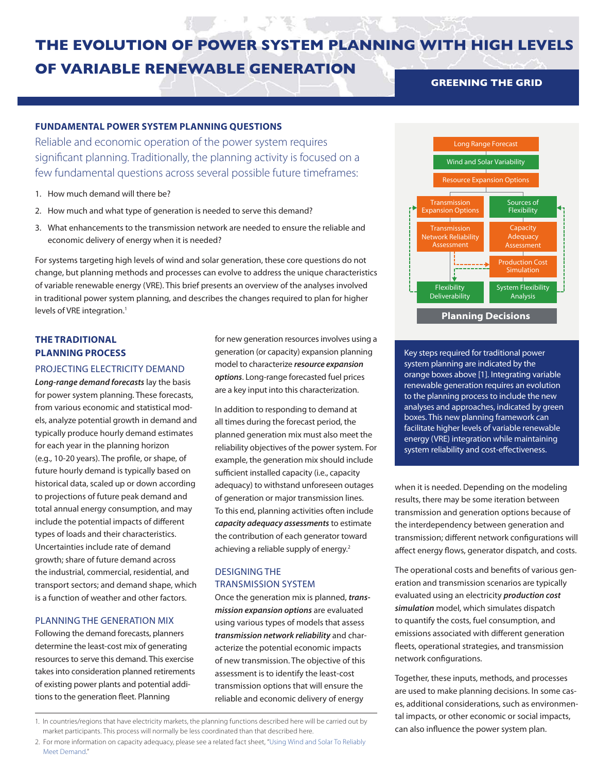# **THE EVOLUTION OF POWER SYSTEM PLANNING WITH HIGH LEVELS OF VARIABLE RENEWABLE GENERATION GREENING THE GRID**

## **FUNDAMENTAL POWER SYSTEM PLANNING QUESTIONS**

Reliable and economic operation of the power system requires significant planning. Traditionally, the planning activity is focused on a few fundamental questions across several possible future timeframes:

- 1. How much demand will there be?
- 2. How much and what type of generation is needed to serve this demand?
- 3. What enhancements to the transmission network are needed to ensure the reliable and economic delivery of energy when it is needed?

For systems targeting high levels of wind and solar generation, these core questions do not change, but planning methods and processes can evolve to address the unique characteristics of variable renewable energy (VRE). This brief presents an overview of the analyses involved in traditional power system planning, and describes the changes required to plan for higher levels of VRE integration.<sup>1</sup>

# **THE TRADITIONAL PLANNING PROCESS**

## PROJECTING ELECTRICITY DEMAND

*Long-range demand forecasts* lay the basis for power system planning. These forecasts, from various economic and statistical models, analyze potential growth in demand and typically produce hourly demand estimates for each year in the planning horizon (e.g., 10-20 years). The profile, or shape, of future hourly demand is typically based on historical data, scaled up or down according to projections of future peak demand and total annual energy consumption, and may include the potential impacts of different types of loads and their characteristics. Uncertainties include rate of demand growth; share of future demand across the industrial, commercial, residential, and transport sectors; and demand shape, which is a function of weather and other factors.

#### PLANNING THE GENERATION MIX

Following the demand forecasts, planners determine the least-cost mix of generating resources to serve this demand. This exercise takes into consideration planned retirements of existing power plants and potential additions to the generation fleet. Planning

for new generation resources involves using a generation (or capacity) expansion planning model to characterize *resource expansion options*. Long-range forecasted fuel prices are a key input into this characterization.

In addition to responding to demand at all times during the forecast period, the planned generation mix must also meet the reliability objectives of the power system. For example, the generation mix should include sufficient installed capacity (i.e., capacity adequacy) to withstand unforeseen outages of generation or major transmission lines. To this end, planning activities often include *capacity adequacy assessments* to estimate the contribution of each generator toward achieving a reliable supply of energy.<sup>2</sup>

# DESIGNING THE TRANSMISSION SYSTEM

Once the generation mix is planned, *transmission expansion options* are evaluated using various types of models that assess *transmission network reliability* and characterize the potential economic impacts of new transmission. The objective of this assessment is to identify the least-cost transmission options that will ensure the reliable and economic delivery of energy



Key steps required for traditional power system planning are indicated by the orange boxes above [1]. Integrating variable renewable generation requires an evolution to the planning process to include the new analyses and approaches, indicated by green boxes. This new planning framework can facilitate higher levels of variable renewable energy (VRE) integration while maintaining system reliability and cost-effectiveness.

when it is needed. Depending on the modeling results, there may be some iteration between transmission and generation options because of the interdependency between generation and transmission; different network configurations will affect energy flows, generator dispatch, and costs.

The operational costs and benefits of various generation and transmission scenarios are typically evaluated using an electricity *production cost simulation* model, which simulates dispatch to quantify the costs, fuel consumption, and emissions associated with different generation fleets, operational strategies, and transmission network configurations.

Together, these inputs, methods, and processes are used to make planning decisions. In some cases, additional considerations, such as environmental impacts, or other economic or social impacts, can also influence the power system plan.

<sup>1.</sup> In countries/regions that have electricity markets, the planning functions described here will be carried out by market participants. This process will normally be less coordinated than that described here.

<sup>2.</sup> For more information on capacity adequacy, please see a related fact sheet, ["Using Wind and Solar To Reliably](http://greeningthegrid.org/resources/factsheets/using-wind-and-solar-to-reliably-meet-electricity-demand)  [Meet Demand](http://greeningthegrid.org/resources/factsheets/using-wind-and-solar-to-reliably-meet-electricity-demand)."